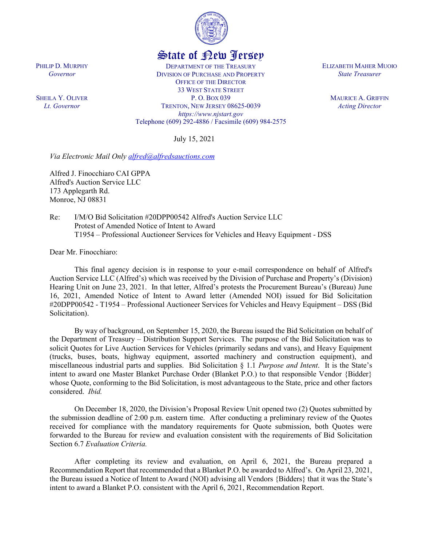

## State of New Jersey

DEPARTMENT OF THE TREASURY DIVISION OF PURCHASE AND PROPERTY OFFICE OF THE DIRECTOR 33 WEST STATE STREET P. O. BOX 039 TRENTON, NEW JERSEY 08625-0039 *https://www.njstart.gov* Telephone (609) 292-4886 / Facsimile (609) 984-2575

July 15, 2021

*Via Electronic Mail Only [alfred@alfredsauctions.com](mailto:alfred@alfredsauctions.com)*

Alfred J. Finocchiaro CAI GPPA Alfred's Auction Service LLC 173 Applegarth Rd. Monroe, NJ 08831

Re: I/M/O Bid Solicitation #20DPP00542 Alfred's Auction Service LLC Protest of Amended Notice of Intent to Award T1954 – Professional Auctioneer Services for Vehicles and Heavy Equipment - DSS

Dear Mr. Finocchiaro:

This final agency decision is in response to your e-mail correspondence on behalf of Alfred's Auction Service LLC (Alfred's) which was received by the Division of Purchase and Property's (Division) Hearing Unit on June 23, 2021. In that letter, Alfred's protests the Procurement Bureau's (Bureau) June 16, 2021, Amended Notice of Intent to Award letter (Amended NOI) issued for Bid Solicitation #20DPP00542 - T1954 – Professional Auctioneer Services for Vehicles and Heavy Equipment – DSS (Bid Solicitation).

By way of background, on September 15, 2020, the Bureau issued the Bid Solicitation on behalf of the Department of Treasury – Distribution Support Services. The purpose of the Bid Solicitation was to solicit Quotes for Live Auction Services for Vehicles (primarily sedans and vans), and Heavy Equipment (trucks, buses, boats, highway equipment, assorted machinery and construction equipment), and miscellaneous industrial parts and supplies. Bid Solicitation § 1.1 *Purpose and Intent*. It is the State's intent to award one Master Blanket Purchase Order (Blanket P.O.) to that responsible Vendor {Bidder} whose Quote, conforming to the Bid Solicitation, is most advantageous to the State, price and other factors considered. *Ibid.*

On December 18, 2020, the Division's Proposal Review Unit opened two (2) Quotes submitted by the submission deadline of 2:00 p.m. eastern time. After conducting a preliminary review of the Quotes received for compliance with the mandatory requirements for Quote submission, both Quotes were forwarded to the Bureau for review and evaluation consistent with the requirements of Bid Solicitation Section 6.7 *Evaluation Criteria.*

After completing its review and evaluation, on April 6, 2021, the Bureau prepared a Recommendation Report that recommended that a Blanket P.O. be awarded to Alfred's. On April 23, 2021, the Bureau issued a Notice of Intent to Award (NOI) advising all Vendors {Bidders} that it was the State's intent to award a Blanket P.O. consistent with the April 6, 2021, Recommendation Report.

PHILIP D. MURPHY *Governor*

SHEILA Y. OLIVER *Lt. Governor*

ELIZABETH MAHER MUOIO *State Treasurer*

> MAURICE A. GRIFFIN *Acting Director*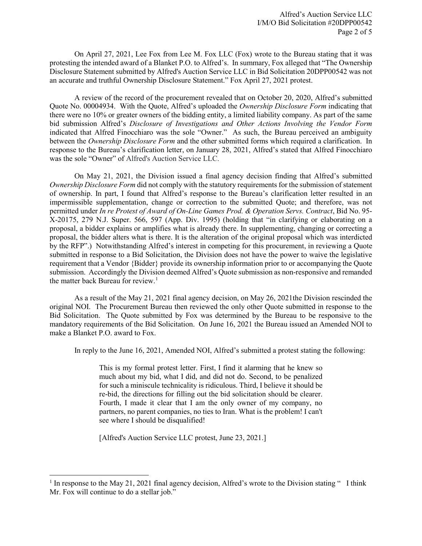On April 27, 2021, Lee Fox from Lee M. Fox LLC (Fox) wrote to the Bureau stating that it was protesting the intended award of a Blanket P.O. to Alfred's. In summary, Fox alleged that "The Ownership Disclosure Statement submitted by Alfred's Auction Service LLC in Bid Solicitation 20DPP00542 was not an accurate and truthful Ownership Disclosure Statement." Fox April 27, 2021 protest.

A review of the record of the procurement revealed that on October 20, 2020, Alfred's submitted Quote No. 00004934. With the Quote, Alfred's uploaded the *Ownership Disclosure Form* indicating that there were no 10% or greater owners of the bidding entity, a limited liability company. As part of the same bid submission Alfred's *Disclosure of Investigations and Other Actions Involving the Vendor Form* indicated that Alfred Finocchiaro was the sole "Owner." As such, the Bureau perceived an ambiguity between the *Ownership Disclosure Form* and the other submitted forms which required a clarification. In response to the Bureau's clarification letter, on January 28, 2021, Alfred's stated that Alfred Finocchiaro was the sole "Owner" of Alfred's Auction Service LLC.

On May 21, 2021, the Division issued a final agency decision finding that Alfred's submitted *Ownership Disclosure Form* did not comply with the statutory requirements for the submission of statement of ownership. In part, I found that Alfred's response to the Bureau's clarification letter resulted in an impermissible supplementation, change or correction to the submitted Quote; and therefore, was not permitted under *In re Protest of Award of On-Line Games Prod. & Operation Servs. Contract*, Bid No. 95- X-20175, 279 N.J. Super. 566, 597 (App. Div. 1995) (holding that "in clarifying or elaborating on a proposal, a bidder explains or amplifies what is already there. In supplementing, changing or correcting a proposal, the bidder alters what is there. It is the alteration of the original proposal which was interdicted by the RFP".) Notwithstanding Alfred's interest in competing for this procurement, in reviewing a Quote submitted in response to a Bid Solicitation, the Division does not have the power to waive the legislative requirement that a Vendor {Bidder} provide its ownership information prior to or accompanying the Quote submission. Accordingly the Division deemed Alfred's Quote submission as non-responsive and remanded the matter back Bureau for review.<sup>[1](#page-1-0)</sup>

As a result of the May 21, 2021 final agency decision, on May 26, 2021the Division rescinded the original NOI. The Procurement Bureau then reviewed the only other Quote submitted in response to the Bid Solicitation. The Quote submitted by Fox was determined by the Bureau to be responsive to the mandatory requirements of the Bid Solicitation. On June 16, 2021 the Bureau issued an Amended NOI to make a Blanket P.O. award to Fox.

In reply to the June 16, 2021, Amended NOI, Alfred's submitted a protest stating the following:

This is my formal protest letter. First, I find it alarming that he knew so much about my bid, what I did, and did not do. Second, to be penalized for such a miniscule technicality is ridiculous. Third, I believe it should be re-bid, the directions for filling out the bid solicitation should be clearer. Fourth, I made it clear that I am the only owner of my company, no partners, no parent companies, no ties to Iran. What is the problem! I can't see where I should be disqualified!

[Alfred's Auction Service LLC protest, June 23, 2021.]

l

<span id="page-1-0"></span> $1$  In response to the May 21, 2021 final agency decision, Alfred's wrote to the Division stating " I think Mr. Fox will continue to do a stellar job."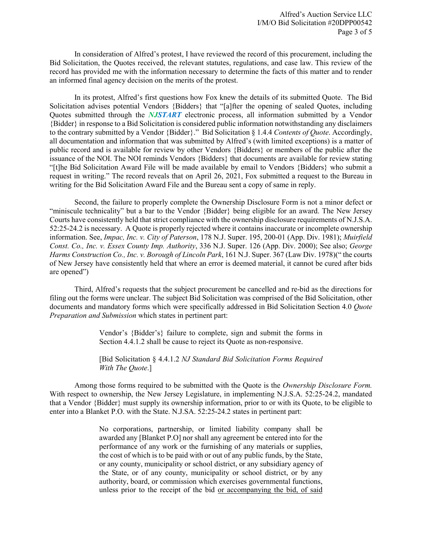In consideration of Alfred's protest, I have reviewed the record of this procurement, including the Bid Solicitation, the Quotes received, the relevant statutes, regulations, and case law. This review of the record has provided me with the information necessary to determine the facts of this matter and to render an informed final agency decision on the merits of the protest.

In its protest, Alfred's first questions how Fox knew the details of its submitted Quote. The Bid Solicitation advises potential Vendors {Bidders} that "[a]fter the opening of sealed Quotes, including Quotes submitted through the *NJSTART* electronic process, all information submitted by a Vendor {Bidder} in response to a Bid Solicitation is considered public information notwithstanding any disclaimers to the contrary submitted by a Vendor {Bidder}." Bid Solicitation § 1.4.4 *Contents of Quote*. Accordingly, all documentation and information that was submitted by Alfred's (with limited exceptions) is a matter of public record and is available for review by other Vendors {Bidders} or members of the public after the issuance of the NOI. The NOI reminds Vendors {Bidders} that documents are available for review stating "[t]he Bid Solicitation Award File will be made available by email to Vendors {Bidders} who submit a request in writing." The record reveals that on April 26, 2021, Fox submitted a request to the Bureau in writing for the Bid Solicitation Award File and the Bureau sent a copy of same in reply.

Second, the failure to properly complete the Ownership Disclosure Form is not a minor defect or "miniscule technicality" but a bar to the Vendor {Bidder} being eligible for an award. The New Jersey Courts have consistently held that strict compliance with the ownership disclosure requirements of N.J.S.A. 52:25-24.2 is necessary. A Quote is properly rejected where it contains inaccurate or incomplete ownership information. See, *Impac, Inc. v. City of Paterson*, 178 N.J. Super. 195, 200-01 (App. Div. 1981); *Muirfield Const. Co., Inc. v. Essex County Imp. Authority*, 336 N.J. Super. 126 (App. Div. 2000); See also; *George Harms Construction Co., Inc. v. Borough of Lincoln Park*, 161 N.J. Super. 367 (Law Div. 1978)(" the courts of New Jersey have consistently held that where an error is deemed material, it cannot be cured after bids are opened")

Third, Alfred's requests that the subject procurement be cancelled and re-bid as the directions for filing out the forms were unclear. The subject Bid Solicitation was comprised of the Bid Solicitation, other documents and mandatory forms which were specifically addressed in Bid Solicitation Section 4.0 *Quote Preparation and Submission* which states in pertinent part:

> Vendor's {Bidder's} failure to complete, sign and submit the forms in Section 4.4.1.2 shall be cause to reject its Quote as non-responsive.

> [Bid Solicitation § 4.4.1.2 *NJ Standard Bid Solicitation Forms Required With The Quote*.]

Among those forms required to be submitted with the Quote is the *Ownership Disclosure Form.*  With respect to ownership, the New Jersey Legislature, in implementing N.J.S.A. 52:25-24.2, mandated that a Vendor {Bidder} must supply its ownership information, prior to or with its Quote, to be eligible to enter into a Blanket P.O. with the State. N.J.SA. 52:25-24.2 states in pertinent part:

> No corporations, partnership, or limited liability company shall be awarded any [Blanket P.O] nor shall any agreement be entered into for the performance of any work or the furnishing of any materials or supplies, the cost of which is to be paid with or out of any public funds, by the State, or any county, municipality or school district, or any subsidiary agency of the State, or of any county, municipality or school district, or by any authority, board, or commission which exercises governmental functions, unless prior to the receipt of the bid or accompanying the bid, of said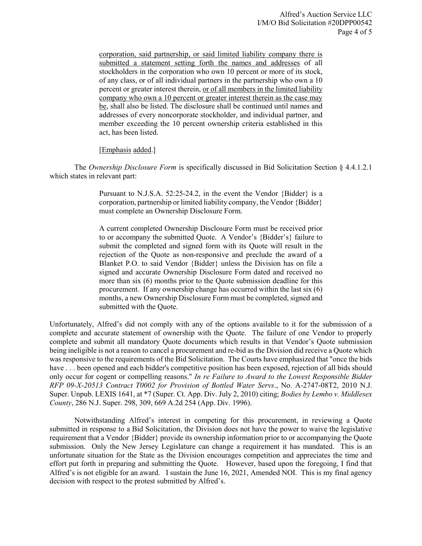corporation, said partnership, or said limited liability company there is submitted a statement setting forth the names and addresses of all stockholders in the corporation who own 10 percent or more of its stock, of any class, or of all individual partners in the partnership who own a 10 percent or greater interest therein, or of all members in the limited liability company who own a 10 percent or greater interest therein as the case may be, shall also be listed. The disclosure shall be continued until names and addresses of every noncorporate stockholder, and individual partner, and member exceeding the 10 percent ownership criteria established in this act, has been listed.

## [Emphasis added.]

The *Ownership Disclosure Form* is specifically discussed in Bid Solicitation Section § 4.4.1.2.1 which states in relevant part:

> Pursuant to N.J.S.A. 52:25-24.2, in the event the Vendor {Bidder} is a corporation, partnership or limited liability company, the Vendor {Bidder} must complete an Ownership Disclosure Form.

> A current completed Ownership Disclosure Form must be received prior to or accompany the submitted Quote. A Vendor's {Bidder's} failure to submit the completed and signed form with its Quote will result in the rejection of the Quote as non-responsive and preclude the award of a Blanket P.O. to said Vendor {Bidder} unless the Division has on file a signed and accurate Ownership Disclosure Form dated and received no more than six (6) months prior to the Quote submission deadline for this procurement. If any ownership change has occurred within the last six (6) months, a new Ownership Disclosure Form must be completed, signed and submitted with the Quote.

Unfortunately, Alfred's did not comply with any of the options available to it for the submission of a complete and accurate statement of ownership with the Quote. The failure of one Vendor to properly complete and submit all mandatory Quote documents which results in that Vendor's Quote submission being ineligible is not a reason to cancel a procurement and re-bid as the Division did receive a Quote which was responsive to the requirements of the Bid Solicitation. The Courts have emphasized that "once the bids have . . . been opened and each bidder's competitive position has been exposed, rejection of all bids should only occur for cogent or compelling reasons." *In re Failure to Award to the Lowest Responsible Bidder RFP 09-X-20513 Contract T0002 for Provision of Bottled Water Servs*., No. A-2747-08T2, 2010 N.J. Super. Unpub. LEXIS 1641, at \*7 (Super. Ct. App. Div. July 2, 2010) citing; *Bodies by Lembo v. Middlesex County*, 286 N.J. Super. 298, 309, 669 A.2d 254 (App. Div. 1996).

Notwithstanding Alfred's interest in competing for this procurement, in reviewing a Quote submitted in response to a Bid Solicitation, the Division does not have the power to waive the legislative requirement that a Vendor {Bidder} provide its ownership information prior to or accompanying the Quote submission. Only the New Jersey Legislature can change a requirement it has mandated. This is an unfortunate situation for the State as the Division encourages competition and appreciates the time and effort put forth in preparing and submitting the Quote. However, based upon the foregoing, I find that Alfred's is not eligible for an award. I sustain the June 16, 2021, Amended NOI. This is my final agency decision with respect to the protest submitted by Alfred's.